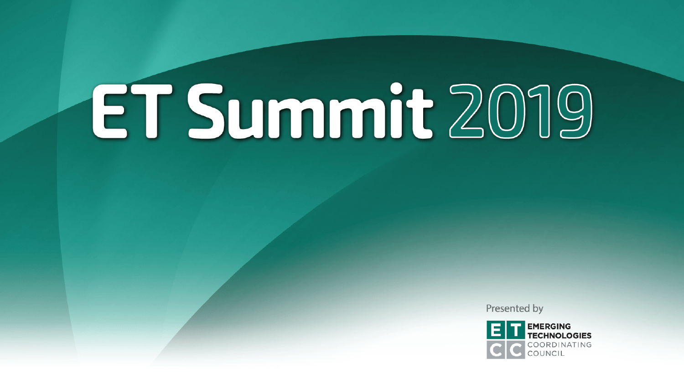Presented by

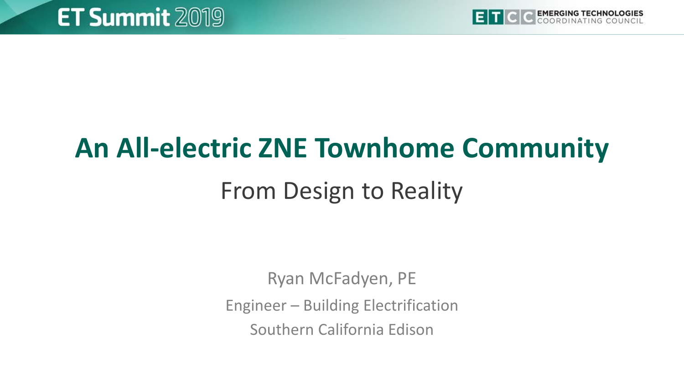

# **An All-electric ZNE Townhome Community**

## From Design to Reality

Ryan McFadyen, PE

Engineer – Building Electrification

Southern California Edison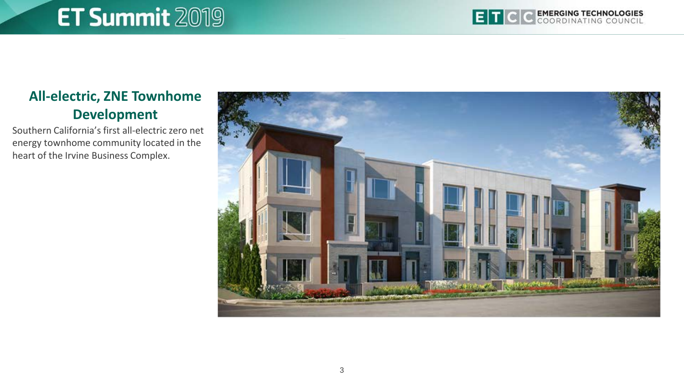

#### **All-electric, ZNE Townhome Development**

Southern California's first all-electric zero net energy townhome community located in the heart of the Irvine Business Complex.

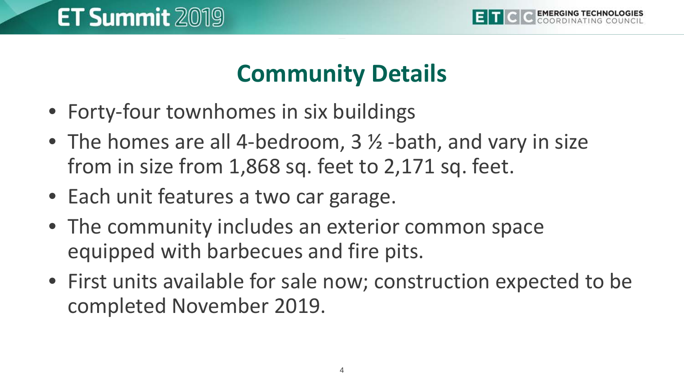

## **Community Details**

- Forty-four townhomes in six buildings
- The homes are all 4-bedroom, 3  $\frac{1}{2}$  -bath, and vary in size from in size from 1,868 sq. feet to 2,171 sq. feet.
- Each unit features a two car garage.
- The community includes an exterior common space equipped with barbecues and fire pits.
- First units available for sale now; construction expected to be completed November 2019.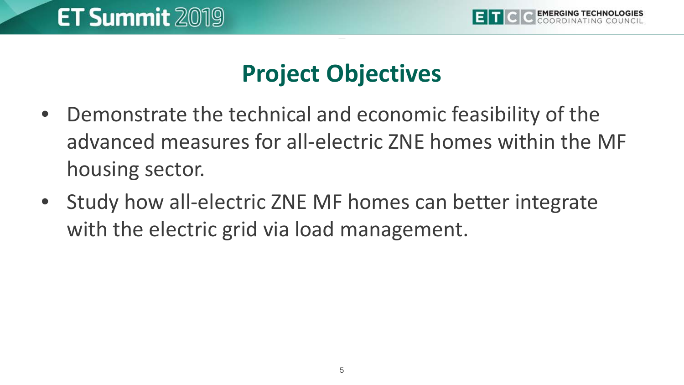

## **Project Objectives**

- Demonstrate the technical and economic feasibility of the advanced measures for all-electric ZNE homes within the MF housing sector.
- Study how all-electric ZNE MF homes can better integrate with the electric grid via load management.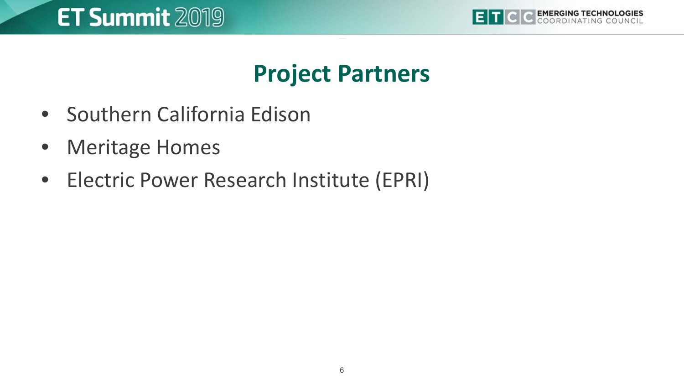

#### **Project Partners**

- Southern California Edison
- Meritage Homes
- Electric Power Research Institute (EPRI)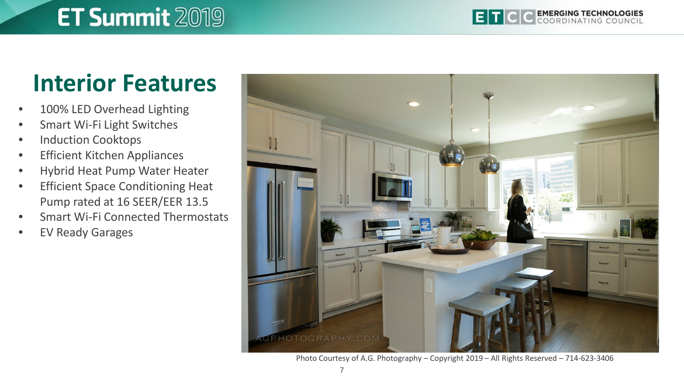#### **Interior Features**

- 100% LED Overhead Lighting
- Smart Wi-Fi Light Switches
- Induction Cooktops
- Efficient Kitchen Appliances
- Hybrid Heat Pump Water Heater
- **Efficient Space Conditioning Heat** Pump rated at 16 SEER/EER 13.5
- Smart Wi-Fi Connected Thermostats
- EV Ready Garages



Photo Courtesy of A.G. Photography – Copyright 2019 – All Rights Reserved – 714-623-3406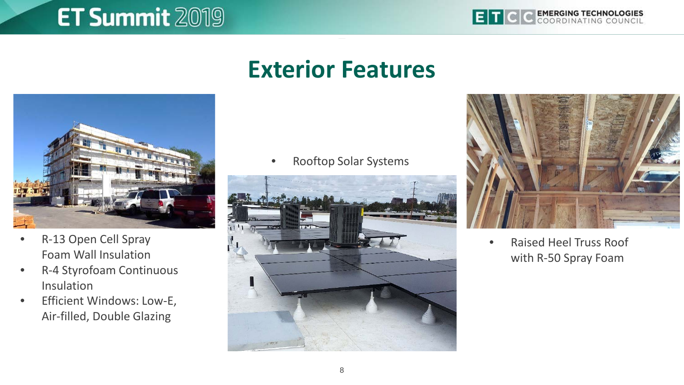

#### **Exterior Features**



- R-13 Open Cell Spray Foam Wall Insulation
- R-4 Styrofoam Continuous Insulation
- Efficient Windows: Low-E, Air-filled, Double Glazing

• Rooftop Solar Systems





• Raised Heel Truss Roof with R-50 Spray Foam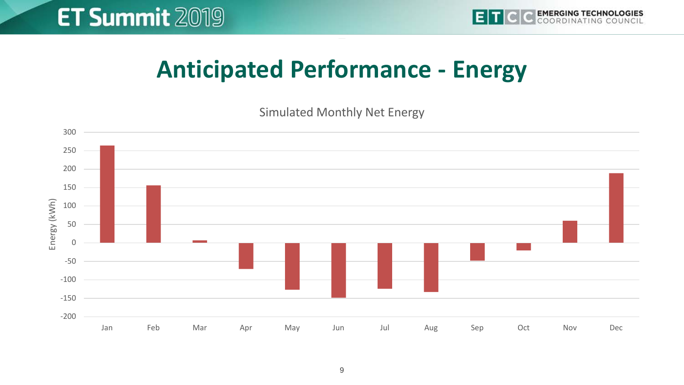#### **Anticipated Performance - Energy**

Simulated Monthly Net Energy

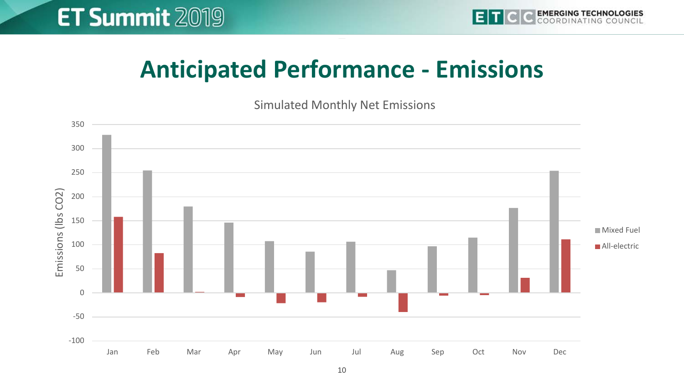#### **Anticipated Performance - Emissions**

Simulated Monthly Net Emissions

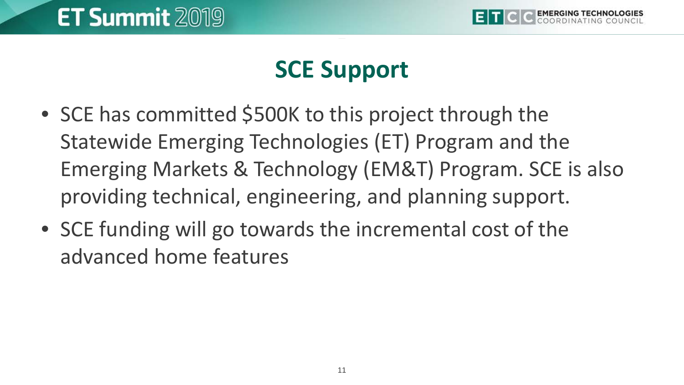

## **SCE Support**

- SCE has committed \$500K to this project through the Statewide Emerging Technologies (ET) Program and the Emerging Markets & Technology (EM&T) Program. SCE is also providing technical, engineering, and planning support.
- SCE funding will go towards the incremental cost of the advanced home features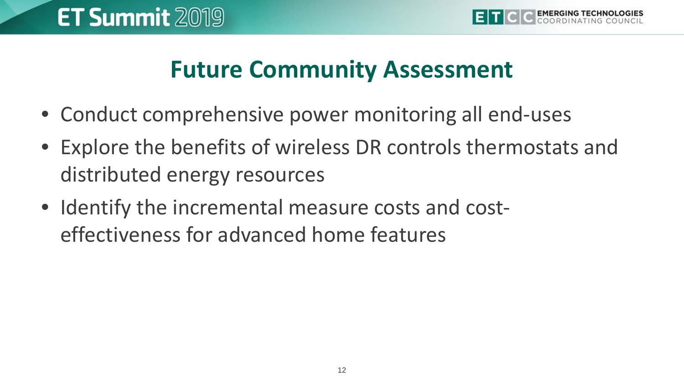#### **Future Community Assessment**

- Conduct comprehensive power monitoring all end-uses
- Explore the benefits of wireless DR controls thermostats and distributed energy resources
- Identify the incremental measure costs and costeffectiveness for advanced home features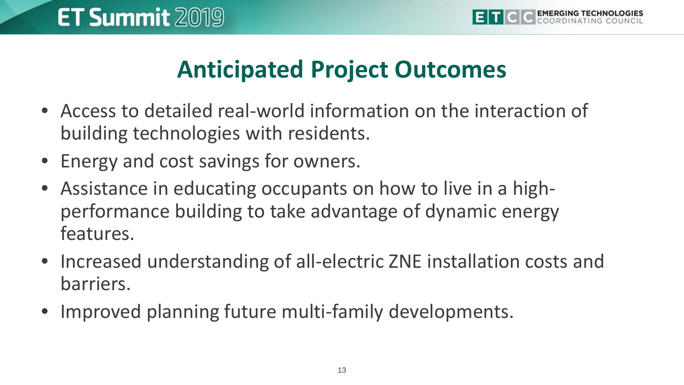## **Anticipated Project Outcomes**

- Access to detailed real-world information on the interaction of building technologies with residents.
- Energy and cost savings for owners.
- Assistance in educating occupants on how to live in a highperformance building to take advantage of dynamic energy features.
- Increased understanding of all-electric ZNE installation costs and barriers.
- Improved planning future multi-family developments.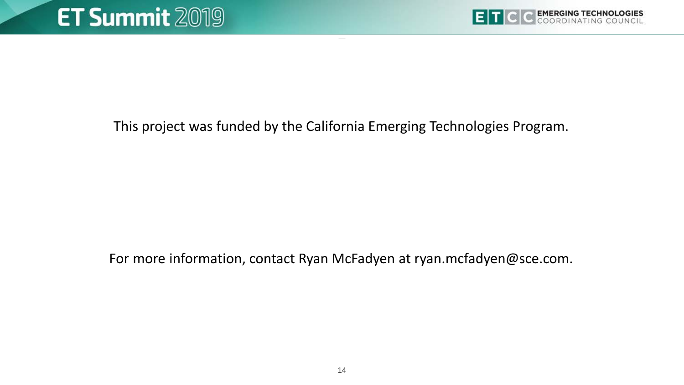This project was funded by the California Emerging Technologies Program.

For more information, contact Ryan McFadyen at ryan.mcfadyen@sce.com.